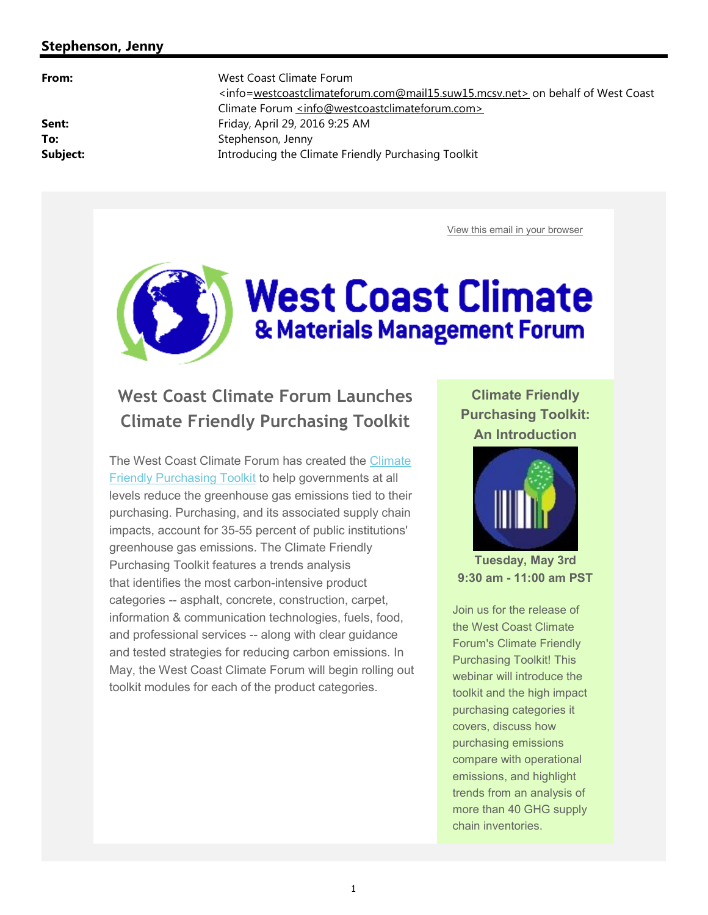#### **Stephenson, Jenny**

**From:** West Coast Climate Forum <info=[westcoastclimateforum.com@mail15.suw15.mcsv.net>](mailto:westcoastclimateforum.com@mail15.suw15.mcsv.net>) on behalf of West Coast Climate Forum [<info@westcoastclimateforum.com>](mailto:<info@westcoastclimateforum.com>) **Sent:** Friday, April 29, 2016 9:25 AM To: Stephenson, Jenny **Subject:** Introducing the Climate Friendly Purchasing Toolkit

View this email in your browser

# **West Coast Climate** & Materials Management Forum

# **West Coast Climate Forum Launches Climate Friendly Purchasing Toolkit**

The West Coast Climate Forum has created the Climate Friendly Purchasing Toolkit to help governments at all levels reduce the greenhouse gas emissions tied to their purchasing. Purchasing, and its associated supply chain impacts, account for 35-55 percent of public institutions' greenhouse gas emissions. The Climate Friendly Purchasing Toolkit features a trends analysis that identifies the most carbon-intensive product categories -- asphalt, concrete, construction, carpet, information & communication technologies, fuels, food, and professional services -- along with clear guidance and tested strategies for reducing carbon emissions. In May, the West Coast Climate Forum will begin rolling out toolkit modules for each of the product categories.

**Climate Friendly Purchasing Toolkit: An Introduction**



**Tuesday, May 3rd 9:30 am - 11:00 am PST**

Join us for the release of the West Coast Climate Forum's Climate Friendly Purchasing Toolkit! This webinar will introduce the toolkit and the high impact purchasing categories it covers, discuss how purchasing emissions compare with operational emissions, and highlight trends from an analysis of more than 40 GHG supply chain inventories.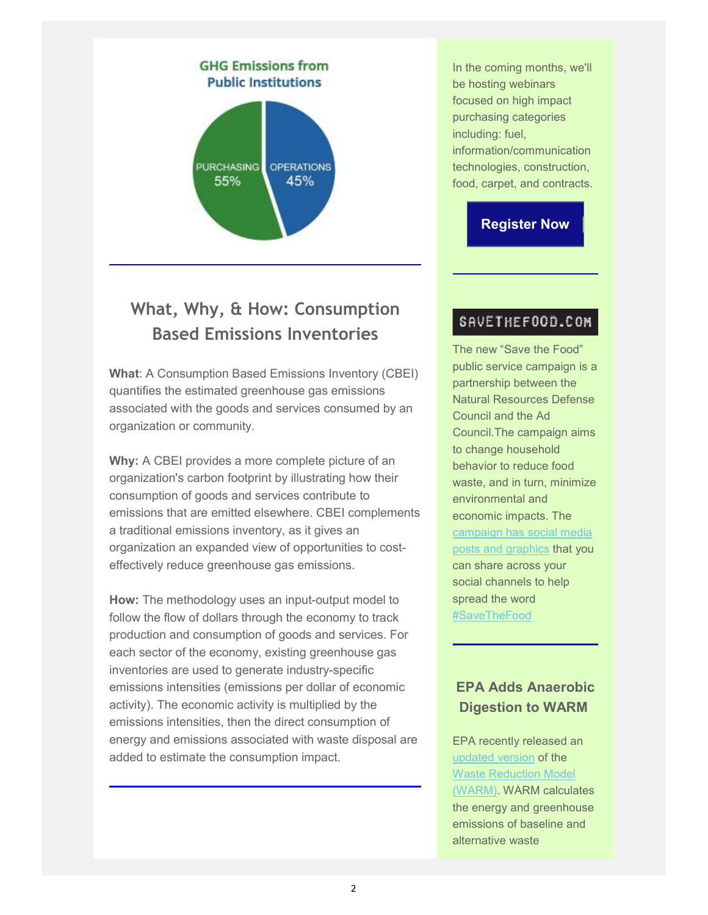

## **What, Why, & How: Consumption Based Emissions Inventories**

**What**: A Consumption Based Emissions Inventory (CBEI) quantifies the estimated greenhouse gas emissions associated with the goods and services consumed by an organization or community.

**Why:** A CBEI provides a more complete picture of an organization's carbon footprint by illustrating how their consumption of goods and services contribute to emissions that are emitted elsewhere. CBEI complements a traditional emissions inventory, as it gives an organization an expanded view of opportunities to costeffectively reduce greenhouse gas emissions.

**How:** The methodology uses an input-output model to follow the flow of dollars through the economy to track production and consumption of goods and services. For each sector of the economy, existing greenhouse gas inventories are used to generate industry-specific emissions intensities (emissions per dollar of economic activity). The economic activity is multiplied by the emissions intensities, then the direct consumption of energy and emissions associated with waste disposal are added to estimate the consumption impact.

In the coming months, we'll be hosting webinars focused on high impact purchasing categories including: fuel, information/communication technologies, construction, food, carpet, and contracts.

## **Register Now**

#### SAVETHEF00D.COM

The new "Save the Food" public service campaign is a partnership between the Natural Resources Defense Council and the Ad Council.The campaign aims to change household behavior to reduce food waste, and in turn, minimize environmental and economic impacts. The campaign has social media posts and graphics that you can share across your social channels to help spread the word #SaveTheFood

## **EPA Adds Anaerobic Digestion to WARM**

EPA recently released an updated version of the Waste Reduction Model (WARM). WARM calculates the energy and greenhouse emissions of baseline and alternative waste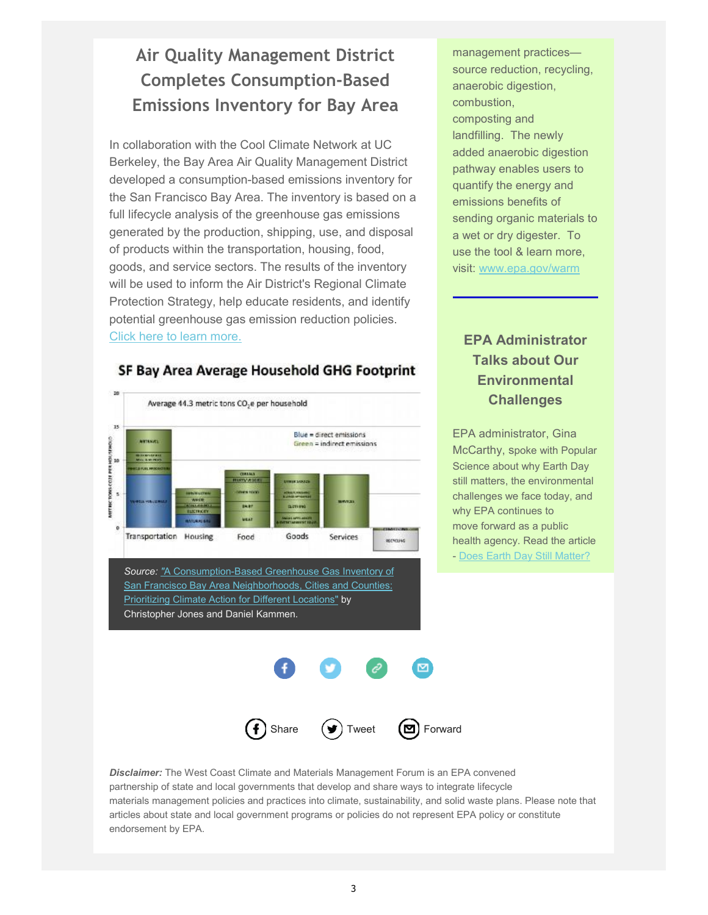# **Air Quality Management District Completes Consumption-Based Emissions Inventory for Bay Area**

In collaboration with the Cool Climate Network at UC Berkeley, the Bay Area Air Quality Management District developed a consumption-based emissions inventory for the San Francisco Bay Area. The inventory is based on a full lifecycle analysis of the greenhouse gas emissions generated by the production, shipping, use, and disposal of products within the transportation, housing, food, goods, and service sectors. The results of the inventory will be used to inform the Air District's Regional Climate Protection Strategy, help educate residents, and identify potential greenhouse gas emission reduction policies. Click here to learn more.

#### 20 Average 44.3 metric tons CO<sub>2</sub>e per household 15 Blue = direct emissions **MATRICKET** Green = indirect emissions METRIC TOWS CO2E PER HOU<br>U **Transportation Housing** Food Goods Services исчана *Source: "*A Consumption-Based Greenhouse Gas Inventory of

SF Bay Area Average Household GHG Footprint

San Francisco Bay Area Neighborhoods, Cities and Counties: Prioritizing Climate Action for Different Locations" by Christopher Jones and Daniel Kammen.

management practices source reduction, recycling, anaerobic digestion, combustion, composting and landfilling. The newly added anaerobic digestion pathway enables users to quantify the energy and emissions benefits of sending organic materials to a wet or dry digester. To use the tool & learn more, visit: [www.epa.gov/warm](http://www.epa.gov/warm)

## **EPA Administrator Talks about Our Environmental Challenges**

EPA administrator, Gina McCarthy, spoke with Popular Science about why Earth Day still matters, the environmental challenges we face today, and why EPA continues to move forward as a public health agency. Read the article - Does Earth Day Still Matter?



*Disclaimer:* The West Coast Climate and Materials Management Forum is an EPA convened partnership of state and local governments that develop and share ways to integrate lifecycle materials management policies and practices into climate, sustainability, and solid waste plans. Please note that articles about state and local government programs or policies do not represent EPA policy or constitute endorsement by EPA.